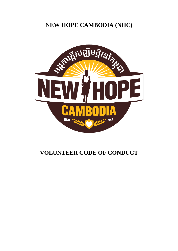# **NEW HOPE CAMBODIA (NHC)**



# **VOLUNTEER CODE OF CONDUCT**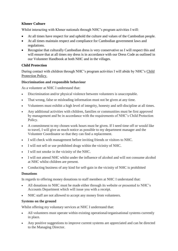### **Khmer Culture**

Whilst interacting with Khmer nationals through NHC's program activities I will:

- At all times have respect for and uphold the culture and values of the Cambodian people.
- At all times maintain respect and compliance for Cambodian government laws and regulations.
- Recognise that culturally Cambodian dress is very conservative so I will respect this and will ensure that at all times my dress is in accordance with our Dress Code as outlined in our Volunteer Handbook at both NHC and in the villages.

#### **Child Protection**

During contact with children through NHC's program activities I will abide by NHC's Child Protection Policy.

## **Discrimination and responsible behaviour**

As a volunteer at NHC I understand that:

- Discrimination and/or physical violence between volunteers is unacceptable.
- That wrong, false or misleading information must not be given at any time.
- Volunteers must exhibit a high level of integrity, honesty and self-discipline at all times.
- Any additional activities with children, families or communities must be first approved by management and be in accordance with the requirements of NHC's Child Protection Policy.
- A commitment to my chosen work hours must be given. If I need time off or would like to travel, I will give as much notice as possible to my department manager and the Volunteer Coordinator so that they can find a replacement.
- I will check with management before inviting friends or visitors to NHC.
- I will not sell or use prohibited drugs within the vicinity of NHC.
- I will not smoke in the vicinity of the NHC.
- I will not attend NHC whilst under the influence of alcohol and will not consume alcohol at NHC whilst children are present.
- Conducting business of any kind for self-gain in the vicinity of NHC is prohibited

#### **Donations**

In regards to offering money donations to staff members at NHC I understand that:

- All donations to NHC must be made either through its website or presented to NHC's Accounts Department which will issue you with a receipt.
- NHC staff are not allowed to accept any money from volunteers.

#### **Systems on the ground**

Whilst offering my voluntary services at NHC I understand that:

- All volunteers must operate within existing operational/organisational systems currently in place.
- Any positive suggestions to improve current systems are appreciated and can be directed to the Managing Director.